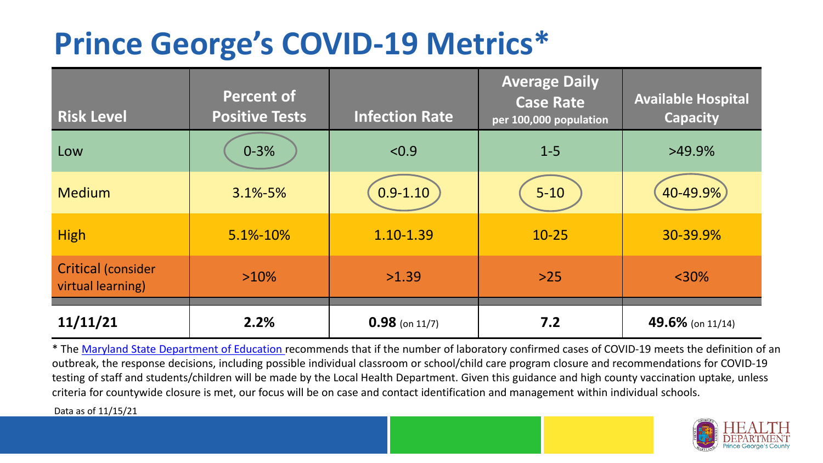## **Prince George's COVID-19 Metrics\***

| <b>Risk Level</b>                       | <b>Percent of</b><br><b>Positive Tests</b> | <b>Infection Rate</b> | <b>Average Daily</b><br><b>Case Rate</b><br>per 100,000 population | <b>Available Hospital</b><br><b>Capacity</b> |
|-----------------------------------------|--------------------------------------------|-----------------------|--------------------------------------------------------------------|----------------------------------------------|
| Low                                     | $0 - 3%$                                   | < 0.9                 | $1 - 5$                                                            | $>49.9\%$                                    |
| <b>Medium</b>                           | $3.1\% - 5\%$                              | $0.9 - 1.10$          | $5 - 10$                                                           | 40-49.9%                                     |
| <b>High</b>                             | 5.1%-10%                                   | 1.10-1.39             | $10 - 25$                                                          | 30-39.9%                                     |
| Critical (consider<br>virtual learning) | $>10\%$                                    | >1.39                 | $>25$                                                              | $<$ 30%                                      |
| 11/11/21                                | 2.2%                                       | $0.98$ (on 11/7)      | 7.2                                                                | 49.6% (on 11/14)                             |

\* The [Maryland State Department of Education r](https://earlychildhood.marylandpublicschools.org/system/files/filedepot/3/covid_guidance_full_080420.pdf)ecommends that if the number of laboratory confirmed cases of COVID-19 meets the definition of an outbreak, the response decisions, including possible individual classroom or school/child care program closure and recommendations for COVID-19 testing of staff and students/children will be made by the Local Health Department. Given this guidance and high county vaccination uptake, unless criteria for countywide closure is met, our focus will be on case and contact identification and management within individual schools.

Data as of 11/15/21

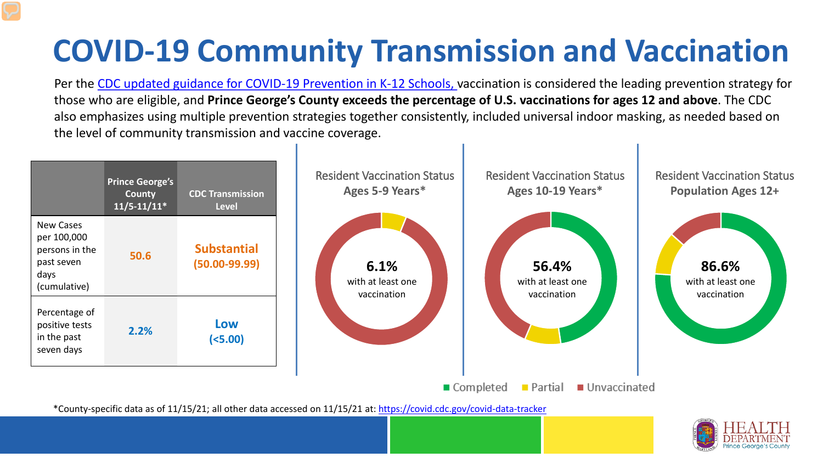# **COVID-19 Community Transmission and Vaccination**

Per the [CDC updated guidance for COVID-19 Prevention in K-12 Schools,](https://www.cdc.gov/coronavirus/2019-ncov/community/schools-childcare/k-12-guidance.html) vaccination is considered the leading prevention strategy for those who are eligible, and **Prince George's County exceeds the percentage of U.S. vaccinations for ages 12 and above**. The CDC also emphasizes using multiple prevention strategies together consistently, included universal indoor masking, as needed based on the level of community transmission and vaccine coverage.



\*County-specific data as of 11/15/21; all other data accessed on 11/15/21 at:<https://covid.cdc.gov/covid-data-tracker>

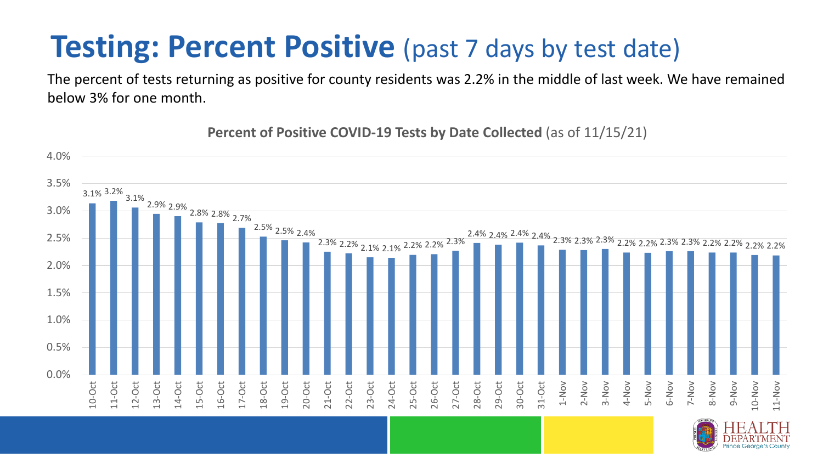### **Testing: Percent Positive** (past 7 days by test date)

The percent of tests returning as positive for county residents was 2.2% in the middle of last week. We have remained below 3% for one month.

3.1% 3.2% 3.1% 2.9% 2.9% 2.8% 2.8% 2.7% 2.5% 2.5% 2.4% 2.3% 2.2% 2.1% 2.1% 2.2% 2.2% 2.3% 2.4% 2.4% 2.4% 2.4% 2.3% 2.3% 2.3% 2.2% 2.2% 2.3% 2.3% 2.2% 2.2% 2.2% 2.2% 0.0% 0.5% 1.0% 1.5% 2.0% 2.5% 3.0% 3.5% 4.0% 10-Oct 11-Oct 12-Oct 13-Oct 14-Oct 15-Oct 16-Oct 17-Oct 18-Oct 19-Oct 20-Oct 21-Oct 22-Oct 23-Oct 24-Oct 25-Oct 26-Oct 27-Oct 28-Oct 29-Oct 30-Oct 31-Oct 1-Nov 2-Nov 3-Nov 4-Nov 5-Nov 6-Nov 7-Nov 8-Nov 9-Nov 10-Nov 11-Nov

**Percent of Positive COVID-19 Tests by Date Collected** (as of 11/15/21)

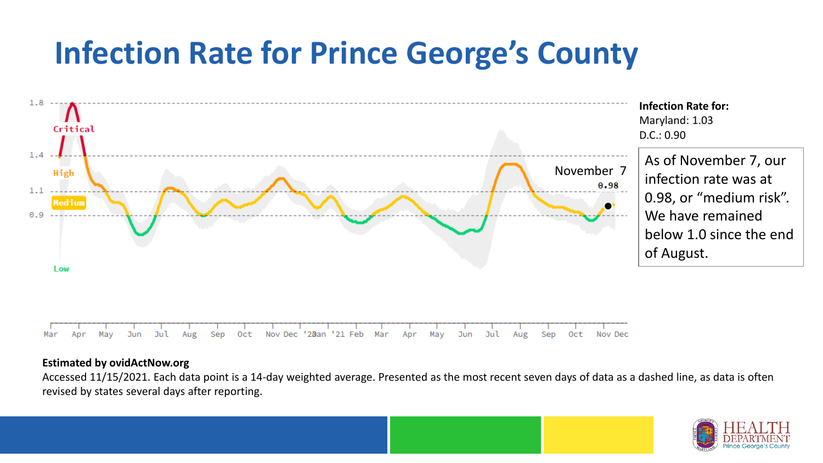## **Infection Rate for Prince George's County**



#### **Estimated by ovidActNow.org**

Accessed 11/15/2021. Each data point is a 14-day weighted average. Presented as the most recent seven days of data as a dashed line, as data is often revised by states several days after reporting.

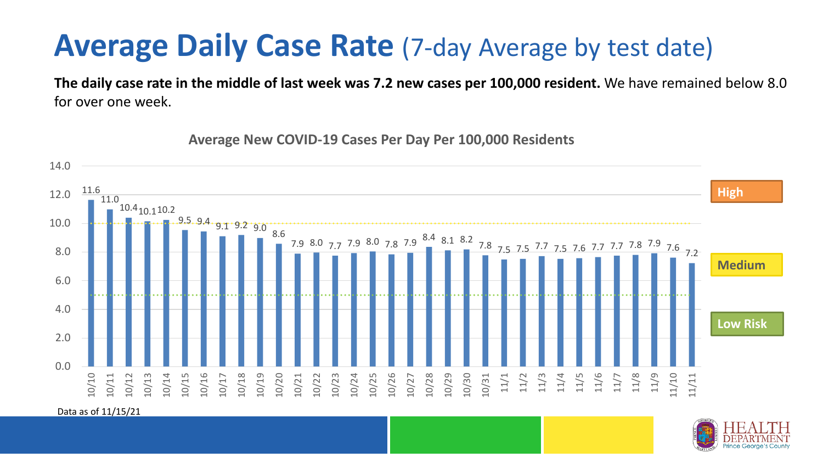### **Average Daily Case Rate** (7-day Average by test date)

**The daily case rate in the middle of last week was 7.2 new cases per 100,000 resident.** We have remained below 8.0 for over one week.

11.6 11.0 10.410.110.2  $9.5.9.4 \cdot 9.1 \cdot 9.2 \cdot 9.0 \cdot 8.6$ 7.9 8.0 7.7 7.9 8.0 7.8 7.9 8.4 8.1 8.2 7.8 7.5 7.5 7.7 7.5 7.6 7.7 7.7 7.8 7.9 7.6 7.2 0.0 2.0 4.0 6.0 8.0 10.0 12.0 14.0 10/10 10/11 10/12 10/13 10/14 10/15 10/16 10/17 10/18 10/19 10/20 10/21 10/22 10/23 10/24 10/25 10/26 10/27 10/28 10/29 10/30 10/31 11/1 11/2 11/3 11/4 11/5 11/6 11/7 11/8 11/9 11/10 11/11 **Low Risk Medium High**

**Average New COVID-19 Cases Per Day Per 100,000 Residents**

Data as of 11/15/21